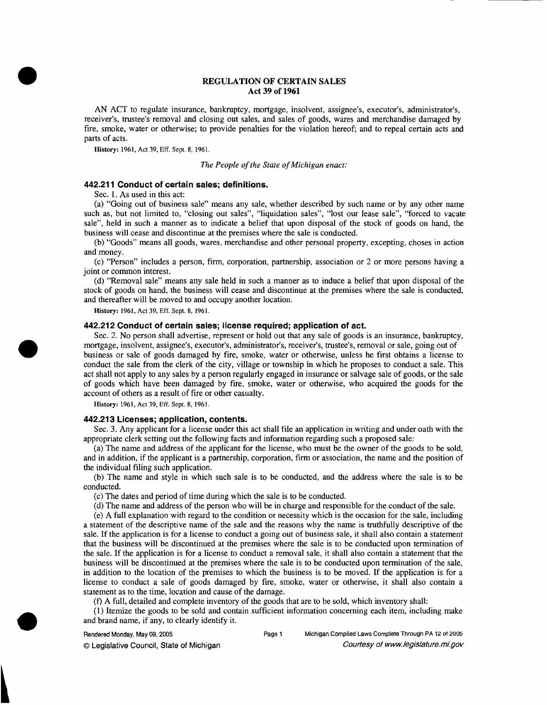## **REGULATION OF CERTAIN SALES Act 39 of 1961**

AN ACT to regulate insurance, bankruptcy, mortgage, insolvent, assignee's, executor's, administrator's, receiver's, trustee's removal and closing out sales, and sales of goods, wares and merchandise damaged by fire, smoke, water or otherwise; to provide penalties for the violation hereof; and to repeal certain acts and parts of acts.

*History:* **1961, Act 39, Eff. Sept. 8, 1961.** 

*The People of the State of Michigan enact:* 

## **442.21 1 Conduct of certain sales; definitions.**

Sec. 1. As used in this act:

(a) "Going out of business sale" means any sale, whether described by such name or by any other name such as, but not limited to, "closing out sales", "liquidation sales", "lost our lease sale", "forced to vacate sale", held in such a manner as to indicate a belief that upon disposal of the stock of goods on hand, the business will cease and discontinue at the premises where the sale is conducted.

(b) "Goods" means all goods, wares, merchandise and other personal property, excepting, choses in action and money.

(c) "Person" includes a person, firm, corporation, partnership, association or 2 or more persons having a joint or common interest.

(d) "Removal sale" means any sale held in such a manner as to induce a belief that upon disposal of the stock of goods on hand, the business will cease and discontinue at the premises where the sale is conducted, and thereafter will be moved to and occupy another location.

*History:* **1961, Act 39, Eff. Sept. 8, 1961.** 

# **442.212 Conduct of certain sales; license required; application of act.**

Sec. 2. No person shall advertise, represent or hold out that any sale of goods is an insurance, bankruptcy, mortgage, insolvent, assignee's, executor's, administrator's, receiver's, trustee's, removal or sale, going out of business or sale of goods damaged by fire, smoke, water or otherwise, unless he first obtains a license to conduct the sale from the clerk of the city, village or township in which he proposes to conduct a sale. This act shall not apply to any sales by a person regularly engaged in insurance or salvage sale of goods, or the sale of goods which have been damaged by fire, smoke, water or otherwise, who acquired the goods for the account of others as a result of fire or other casualty.

*History:* **1961, Act 39, Eff. Sept. 8, 1961.** 

# **442.213 Licenses; application, contents.**

Sec. **3.** Any applicant for a license under this act shall file an application in writing and under oath with the appropriate clerk setting out the following facts and information regarding such a proposed sale:

(a) The name and address of the applicant for the license, who must be the owner of the goods to be sold, and in addition, if the applicant is a partnership, corporation, firm or association, the name and the position of the individual filing such application.

(b) The name and style in which such sale is to be conducted, and the address where the sale is to be conducted.

(c) The dates and period of time during which the sale is to be conducted.

(d) The name and address of the person who will be in charge and responsible for the conduct of the sale.

(e) A full explanation with regard to the condition or necessity which is the occasion for the sale, including a statement of the descriptive name of the sale and the reasons why the name is truthfully descriptive of the sale. If the application is for a license to conduct a going out of business sale, it shall also contain a statement that the business will be discontinued at the premises where the sale is to be conducted upon termination of the sale. If the application is for a license to conduct a removal sale, it shall also contain a statement that the business will be discontinued at the premises where the sale is to be conducted upon termination of the sale, in addition to the location of the premises to which the business is to be moved. If the application is for a license to conduct a sale of goods damaged by fire, smoke, water or otherwise, it shall also contain a statement as to the time, location and cause of the damage.

(f) A full, detailed and complete inventory of the goods that are to be sold, which inventory shall:

(1) Itemize the goods to be sold and contain sufficient information concerning each item, including make and brand name, if any, to clearly identify it.

Rendered Monday, May 09,2005 Page 1 Michigan Compiled Laws Complete Through PA **12** of **2005**  © Legislative Council, State of Michigan Council Courtesy of www.legislature.mi.gov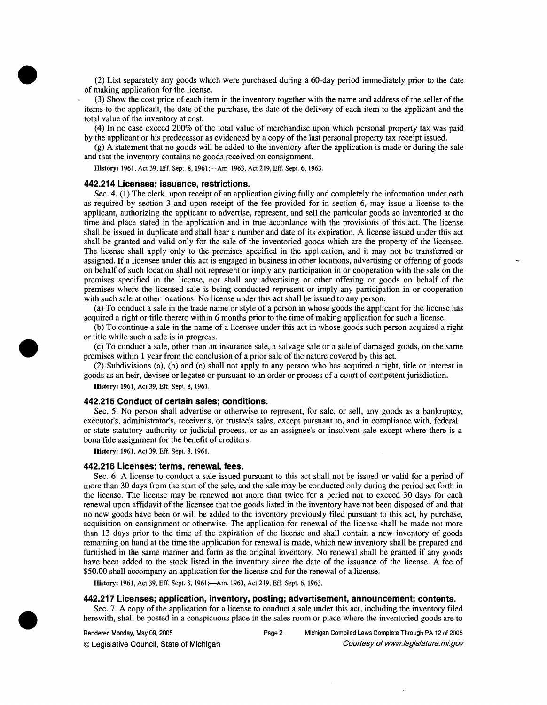(2) List separately any goods which were purchased during a 60-day period immediately prior to the date of making application for the license.

(3) Show the cost price of each item in the inventory together with the name and address of the seller of the items to the applicant, the date of the purchase, the date of the delivery of each item to the applicant and the total value of the inventory at cost.

(4) In no case exceed 200% of the total value of merchandise upon which personal property tax was paid by the applicant or his predecessor as evidenced by a copy of the last personal property tax receipt issued.

(g) **A** statement that no goods will be added to the inventory after the application is made or during the sale and that the inventory contains no goods received on consignment.

History: 1961, Act 39, Eff. Sept. 8, 1961;—Am. 1963, Act 219, Eff. Sept. 6, 1963.

### **442.214 Licenses; issuance, restrictions.**

Sec. 4. (1) The clerk, upon receipt of an application giving fully and completely the information under oath as required by section 3 and upon receipt of the fee provided for in section 6, may issue a license to the applicant, authorizing the applicant to advertise, represent, and sell the particular goods so inventoried at the time and place stated in the application and in true accordance with the provisions of this act. The license shall be issued in duplicate and shall bear a number and date of its expiration. A license issued under this act shall be granted and valid only for the sale of the inventoried goods which are the property of the licensee. The license shall apply only to the premises specified in the application, and it may not be transferred or assigned. If a licensee under this act is engaged in business in other locations, advertising or offering of goods on behalf of such location shall not represent or imply any participation in or cooperation with the sale on the premises specified in the license, nor shall any advertising or other offering or goods on behalf of the premises where the licensed sale is being conducted represent or imply any participation in or cooperation with such sale at other locations. No license under this act shall be issued to any person:

(a) To conduct a sale in the trade name or style of a person in whose goods the applicant for the license has acquired a right or title thereto within 6 months prior to the time of making application for such a license.

(b) To continue a sale in the name of a licensee under this act in whose goods such person acquired a right or title while such a sale is in progress.

(c) To conduct a sale, other than an insurance sale, a salvage sale or a sale of damaged goods, on the same premises within 1 year from the conclusion of a prior sale of the nature covered by this act.

(2) Subdivisions (a), (b) and (c) shall not apply to any person who has acquired a right, title or interest in goods as an heir, devisee or legatee or pursuant to an order or process of a court of competent jurisdiction.

**History:** 1961, Act 39, Eff. Sept. 8, 1961.

#### **442.21 5 Conduct of certain sales; conditions.**

Sec. 5. No person shall advertise or otherwise to represent, for sale, or sell, any goods as a bankruptcy, executor's, administrator's, receiver's, or trustee's sales, except pursuant to, and in compliance with, federal or state statutory authority or judicial process, or as an assignee's or insolvent sale except where there is a bona fide assignment for the benefit of creditors.

**History:** 1961, Act 39, Eff. Sept. 8, 1961.

### **442.21 6 Licenses; terms, renewal, fees.**

Sec. 6. A license to conduct a sale issued pursuant to this act shall not be issued or valid for a period of more than 30 days from the start of the sale, and the sale may be conducted only during the period set forth in the license. The license may be renewed not more than twice for a period not to exceed 30 days for each renewal upon affidavit of the licensee that the goods listed in the inventory have not been disposed of and that no new goods have been or will be added to the inventory previously filed pursuant to this act, by purchase, acquisition on consignment or otherwise. The application for renewal of the license shall be made not more than 13 days prior to the time of the expiration of the license and shall contain a new inventory of goods remaining on hand at the time the application for renewal is made, which new inventory shall be prepared and furnished in the same manner and form as the original inventory. No renewal shall be granted if any goods have been added to the stock listed in the inventory since the date of the issuance of the license. A fee of \$50.00 shall accompany an application for the license and for the renewal of a license.

History: 1961, Act 39, Eff. Sept. 8, 1961;-Am. 1963, Act 219, Eff. Sept. 6, 1963.

## **442.217 Licenses; application, inventory, posting; advertisement, announcement; contents.**

Sec. 7. A copy of the application for a license to conduct a sale under this act, including the inventory filed herewith, shall be posted in a conspicuous place in the sales room or place where the inventoried goods are to

Rendered Monday, May 09, 2005 **Page 2** Michigan Compiled Laws Complete Through PA 12 of 2005 © Legislative Council, State of Michigan Council Council Council Council Council Council Council Council Council Council Council Council Council Council Council Council Council Council Council Council Council Council Counc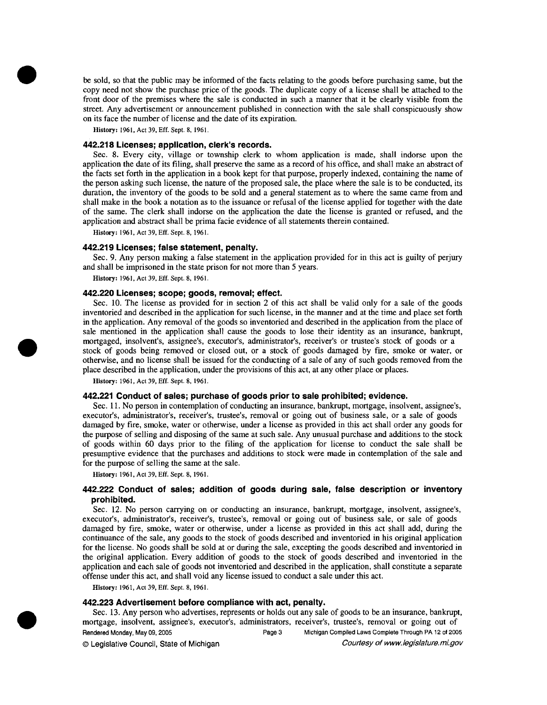**be** sold, so that the public may be informed of the facts relating to the goods before purchasing same, but the copy need not show the purchase price of the goods. The duplicate copy of a license shall **be** attached to the front door of the premises where the sale is conducted in such a manner that it be clearly visible from the street. Any advertisement or announcement published in connection with the sale shall conspicuously show on its face the number of license and the date of its expiration.

**History:** 1961, Act 39, **Eff.** Sept. 8, 1961.

## **442.218 Licenses; application, clerk's records.**

Sec. 8. Every city, village or township clerk to whom application is made, shall indorse upon the application the date of its filing, shall preserve the same as a record of his office, and shall make an abstract of the facts set forth in the application in a book kept for that purpose, properly indexed, containing the name of the person asking such license, the nature of the proposed sale, the place where the sale is to be conducted, its duration, the inventory of the goods to be sold and a general statement as to where the same came from and shall make in the book a notation as to the issuance or refusal of the license applied for together with the date of the same. The clerk shall indorse on the application the date the license is granted or refused, and the application and abstract shall be prima facie evidence of all statements therein contained.

**History:** 1961, Act 39, **Eff.** Sept. 8, 1961.

### **442.21 9 Licenses; false statement, penalty.**

Sec. 9. Any person making a false statement in the application provided for in this act is guilty of perjury and shall be imprisoned in the state prison for not more than 5 years.

**History:** 1961, Act 39, **Eff.** Sept. 8, 1961.

## **442.220 Licenses; scope; goods, removal; effect.**

Sec. 10. The license as provided for in section 2 of this act shall be valid only for a sale of the goods inventoried and described in the application for such license, in the manner and at the time and place set forth in the application. Any removal of the goods so inventoried and described in the application from the place of sale mentioned in the application shall cause the goods to lose their identity as an insurance, bankrupt, mortgaged, insolvent's, assignee's, executor's, administrator's, receiver's or trustee's stock of goods or a stock of goods being removed or closed out, or a stock of goods damaged by fire, smoke or water, or otherwise, and no license shall be issued for the conducting of a sale of any of such goods removed from the place described in the application, under the provisions of this act, at any other place or places.

**History:** 1961, Act 39, **Eff.** Sept. 8, 1961.

### **442.221 Conduct of sales; purchase of goods prior to sale prohibited; evidence.**

Sec. 11. No person in contemplation of conducting an insurance, bankrupt, mortgage, insolvent, assignee's, executor's, administrator's, receiver's, trustee's, removal or going out of business sale, or a sale of goods damaged by fire, smoke, water or otherwise, under a license as provided in this act shall order any goods for the purpose of selling and disposing of the same at such sale. Any unusual purchase and additions to the stock of goods within 60 days prior to the filing of the application for license to conduct the sale shall be presumptive evidence that the purchases and additions to stock were made in contemplation of the sale and for the purpose of selling the same at the sale.

**History:** 1961, Act 39, **Eff.** Sept. 8, 1961.

## **442.222 Conduct of sales; addition of goods during sale, false description or inventory prohibited.**

Sec. 12. No person carrying on or conducting an insurance, bankrupt, mortgage, insolvent, assignee's, executor's, administrator's, receiver's, trustee's, removal or going out of business sale, or sale of goods damaged by fire, smoke, water or otherwise, under a license as provided in this act shall add, during the continuance of the sale, any goods to the stock of goods described and inventoried in his original application for the license. No goods shall be sold at or during the sale, excepting the goods described and inventoried in the original application. Every addition of goods to the stock of goods described and inventoried in the application and each sale of goods not inventoried and described in the application, shall constitute a separate offense under this act, and shall void any license issued to conduct a sale under this act.

**History:** 1961, Act 39, **Eff.** Sept. 8, 1961.

#### **442.223 Advertisement before compliance with act, penalty.**

Sec. 13. Any person who advertises, represents or holds out any sale of goods to be an insurance, bankrupt, mortgage, insolvent, assignee's, executor's, administrators, receiver's, trustee's, removal or going out of Rendered Monday, May 09, 2005 **Page 3** Michigan Compiled Laws Complete Through PA 12 of 2005 O Legislative Council, State of Michigan Courtesy of *www.* legislature. mi.gov